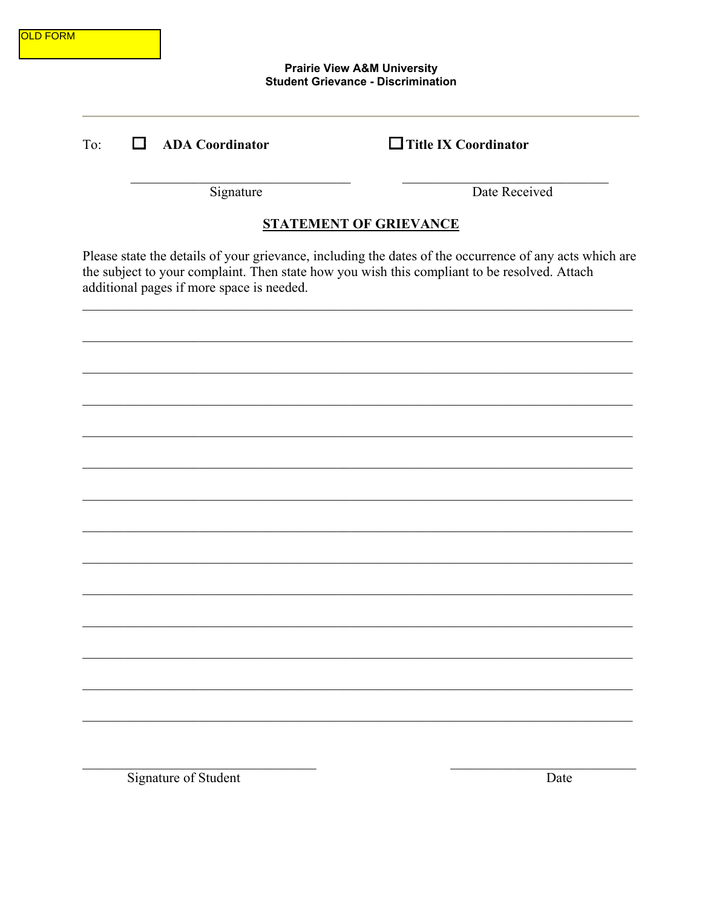|     | <b>Prairie View A&amp;M University</b><br><b>Student Grievance - Discrimination</b> |                                           |                                                                                              |  |  |  |  |
|-----|-------------------------------------------------------------------------------------|-------------------------------------------|----------------------------------------------------------------------------------------------|--|--|--|--|
| To: | turk.                                                                               | <b>ADA Coordinator</b>                    | Title IX Coordinator                                                                         |  |  |  |  |
|     |                                                                                     | Signature                                 | Date Received                                                                                |  |  |  |  |
|     |                                                                                     | additional pages if more space is needed. | the subject to your complaint. Then state how you wish this compliant to be resolved. Attach |  |  |  |  |
|     |                                                                                     |                                           |                                                                                              |  |  |  |  |
|     |                                                                                     |                                           |                                                                                              |  |  |  |  |
|     |                                                                                     |                                           |                                                                                              |  |  |  |  |
|     |                                                                                     | Signature of Student                      | Date                                                                                         |  |  |  |  |

 $\overline{O}$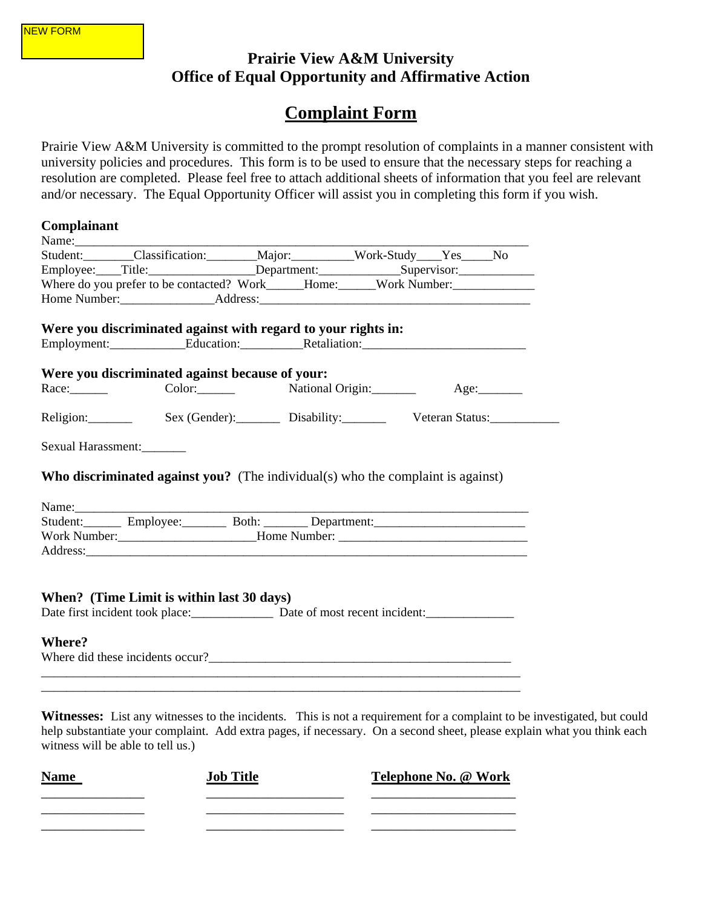# **Prairie View A&M University Office of Equal Opportunity and Affirmative Action**

# **Complaint Form**

Prairie View A&M University is committed to the prompt resolution of complaints in a manner consistent with university policies and procedures. This form is to be used to ensure that the necessary steps for reaching a resolution are completed. Please feel free to attach additional sheets of information that you feel are relevant and/or necessary. The Equal Opportunity Officer will assist you in completing this form if you wish.

| Complainant        |                                                                                        |  |  |  |
|--------------------|----------------------------------------------------------------------------------------|--|--|--|
|                    | Name:                                                                                  |  |  |  |
|                    | Student: Classification: Major: Work-Study Yes No                                      |  |  |  |
|                    | Employee: Title: Department: Supervisor:                                               |  |  |  |
|                    | Where do you prefer to be contacted? Work_____Home:_____Work Number:_____________      |  |  |  |
|                    |                                                                                        |  |  |  |
|                    |                                                                                        |  |  |  |
|                    | Were you discriminated against with regard to your rights in:                          |  |  |  |
|                    |                                                                                        |  |  |  |
|                    | Were you discriminated against because of your:                                        |  |  |  |
|                    | Race: Color: Color: National Origin: Age: Age:                                         |  |  |  |
|                    |                                                                                        |  |  |  |
|                    | Religion: Sex (Gender): Disability: Veteran Status:                                    |  |  |  |
|                    |                                                                                        |  |  |  |
| Sexual Harassment: |                                                                                        |  |  |  |
|                    | <b>Who discriminated against you?</b> (The individual(s) who the complaint is against) |  |  |  |
|                    |                                                                                        |  |  |  |
|                    |                                                                                        |  |  |  |
|                    | Work Number: ___________________________Home Number: ___________________________       |  |  |  |
|                    |                                                                                        |  |  |  |
|                    |                                                                                        |  |  |  |
|                    |                                                                                        |  |  |  |
|                    | When? (Time Limit is within last 30 days)                                              |  |  |  |
|                    | Date first incident took place: Date of most recent incident:                          |  |  |  |
|                    |                                                                                        |  |  |  |
| <b>Where?</b>      |                                                                                        |  |  |  |
|                    |                                                                                        |  |  |  |
|                    |                                                                                        |  |  |  |
|                    |                                                                                        |  |  |  |

Witnesses: List any witnesses to the incidents. This is not a requirement for a complaint to be investigated, but could help substantiate your complaint. Add extra pages, if necessary. On a second sheet, please explain what you think each witness will be able to tell us.)

| <b>Name</b> | <b>Job Title</b> | Telephone No. @ Work |
|-------------|------------------|----------------------|
|             |                  |                      |
|             |                  |                      |
|             |                  |                      |